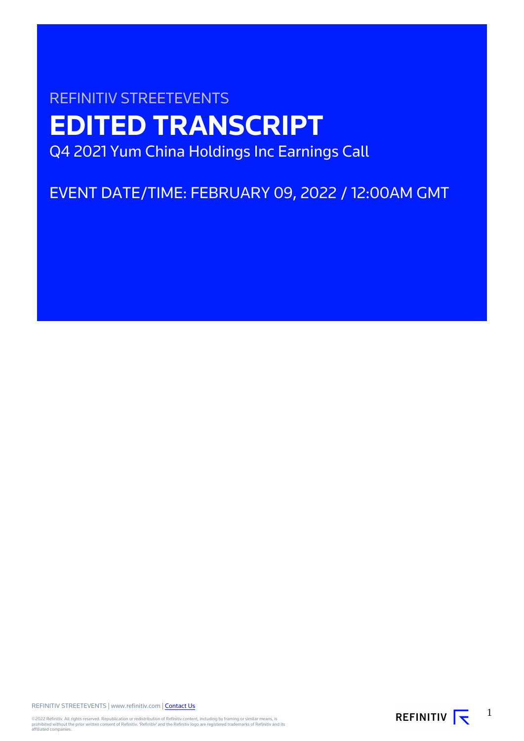# REFINITIV STREETEVENTS **EDITED TRANSCRIPT** Q4 2021 Yum China Holdings Inc Earnings Call

EVENT DATE/TIME: FEBRUARY 09, 2022 / 12:00AM GMT

REFINITIV STREETEVENTS | www.refinitiv.com | [Contact Us](https://www.refinitiv.com/en/contact-us)

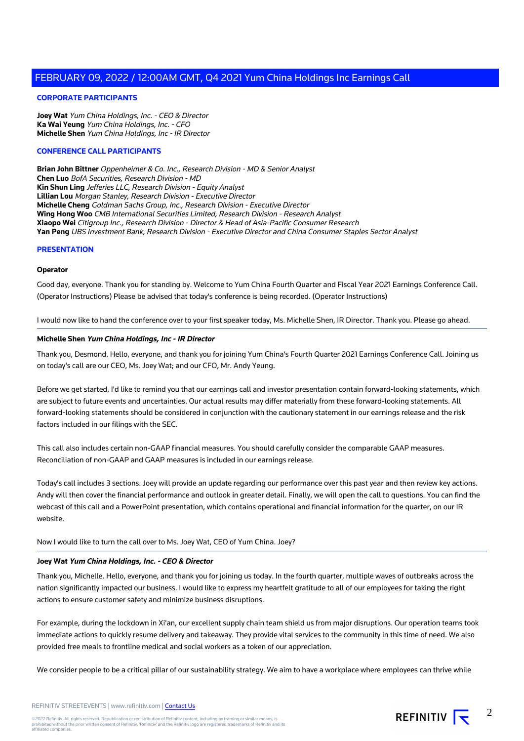#### **CORPORATE PARTICIPANTS**

**Joey Wat** Yum China Holdings, Inc. - CEO & Director **Ka Wai Yeung** Yum China Holdings, Inc. - CFO **Michelle Shen** Yum China Holdings, Inc - IR Director

#### **CONFERENCE CALL PARTICIPANTS**

**Brian John Bittner** Oppenheimer & Co. Inc., Research Division - MD & Senior Analyst **Chen Luo** BofA Securities, Research Division - MD **Kin Shun Ling** Jefferies LLC, Research Division - Equity Analyst **Lillian Lou** Morgan Stanley, Research Division - Executive Director **Michelle Cheng** Goldman Sachs Group, Inc., Research Division - Executive Director **Wing Hong Woo** CMB International Securities Limited, Research Division - Research Analyst **Xiaopo Wei** Citigroup Inc., Research Division - Director & Head of Asia-Pacific Consumer Research **Yan Peng** UBS Investment Bank, Research Division - Executive Director and China Consumer Staples Sector Analyst

#### **PRESENTATION**

#### **Operator**

Good day, everyone. Thank you for standing by. Welcome to Yum China Fourth Quarter and Fiscal Year 2021 Earnings Conference Call. (Operator Instructions) Please be advised that today's conference is being recorded. (Operator Instructions)

I would now like to hand the conference over to your first speaker today, Ms. Michelle Shen, IR Director. Thank you. Please go ahead.

#### **Michelle Shen Yum China Holdings, Inc - IR Director**

Thank you, Desmond. Hello, everyone, and thank you for joining Yum China's Fourth Quarter 2021 Earnings Conference Call. Joining us on today's call are our CEO, Ms. Joey Wat; and our CFO, Mr. Andy Yeung.

Before we get started, I'd like to remind you that our earnings call and investor presentation contain forward-looking statements, which are subject to future events and uncertainties. Our actual results may differ materially from these forward-looking statements. All forward-looking statements should be considered in conjunction with the cautionary statement in our earnings release and the risk factors included in our filings with the SEC.

This call also includes certain non-GAAP financial measures. You should carefully consider the comparable GAAP measures. Reconciliation of non-GAAP and GAAP measures is included in our earnings release.

Today's call includes 3 sections. Joey will provide an update regarding our performance over this past year and then review key actions. Andy will then cover the financial performance and outlook in greater detail. Finally, we will open the call to questions. You can find the webcast of this call and a PowerPoint presentation, which contains operational and financial information for the quarter, on our IR website.

Now I would like to turn the call over to Ms. Joey Wat, CEO of Yum China. Joey?

#### **Joey Wat Yum China Holdings, Inc. - CEO & Director**

Thank you, Michelle. Hello, everyone, and thank you for joining us today. In the fourth quarter, multiple waves of outbreaks across the nation significantly impacted our business. I would like to express my heartfelt gratitude to all of our employees for taking the right actions to ensure customer safety and minimize business disruptions.

For example, during the lockdown in Xi'an, our excellent supply chain team shield us from major disruptions. Our operation teams took immediate actions to quickly resume delivery and takeaway. They provide vital services to the community in this time of need. We also provided free meals to frontline medical and social workers as a token of our appreciation.

We consider people to be a critical pillar of our sustainability strategy. We aim to have a workplace where employees can thrive while

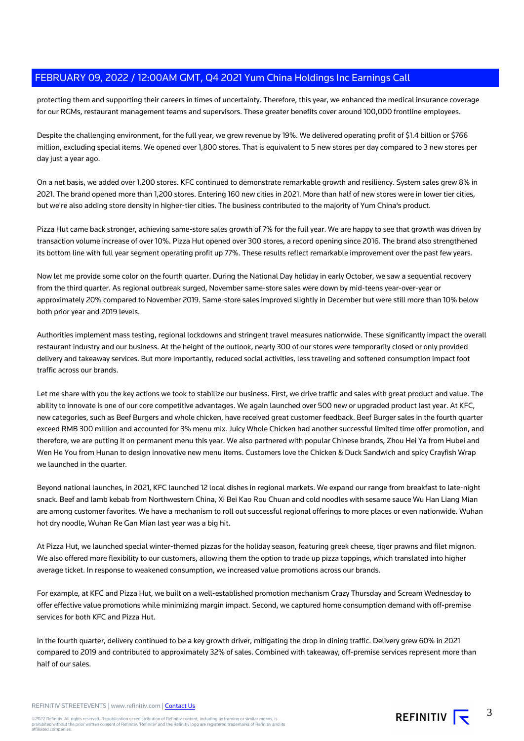protecting them and supporting their careers in times of uncertainty. Therefore, this year, we enhanced the medical insurance coverage for our RGMs, restaurant management teams and supervisors. These greater benefits cover around 100,000 frontline employees.

Despite the challenging environment, for the full year, we grew revenue by 19%. We delivered operating profit of \$1.4 billion or \$766 million, excluding special items. We opened over 1,800 stores. That is equivalent to 5 new stores per day compared to 3 new stores per day just a year ago.

On a net basis, we added over 1,200 stores. KFC continued to demonstrate remarkable growth and resiliency. System sales grew 8% in 2021. The brand opened more than 1,200 stores. Entering 160 new cities in 2021. More than half of new stores were in lower tier cities, but we're also adding store density in higher-tier cities. The business contributed to the majority of Yum China's product.

Pizza Hut came back stronger, achieving same-store sales growth of 7% for the full year. We are happy to see that growth was driven by transaction volume increase of over 10%. Pizza Hut opened over 300 stores, a record opening since 2016. The brand also strengthened its bottom line with full year segment operating profit up 77%. These results reflect remarkable improvement over the past few years.

Now let me provide some color on the fourth quarter. During the National Day holiday in early October, we saw a sequential recovery from the third quarter. As regional outbreak surged, November same-store sales were down by mid-teens year-over-year or approximately 20% compared to November 2019. Same-store sales improved slightly in December but were still more than 10% below both prior year and 2019 levels.

Authorities implement mass testing, regional lockdowns and stringent travel measures nationwide. These significantly impact the overall restaurant industry and our business. At the height of the outlook, nearly 300 of our stores were temporarily closed or only provided delivery and takeaway services. But more importantly, reduced social activities, less traveling and softened consumption impact foot traffic across our brands.

Let me share with you the key actions we took to stabilize our business. First, we drive traffic and sales with great product and value. The ability to innovate is one of our core competitive advantages. We again launched over 500 new or upgraded product last year. At KFC, new categories, such as Beef Burgers and whole chicken, have received great customer feedback. Beef Burger sales in the fourth quarter exceed RMB 300 million and accounted for 3% menu mix. Juicy Whole Chicken had another successful limited time offer promotion, and therefore, we are putting it on permanent menu this year. We also partnered with popular Chinese brands, Zhou Hei Ya from Hubei and Wen He You from Hunan to design innovative new menu items. Customers love the Chicken & Duck Sandwich and spicy Crayfish Wrap we launched in the quarter.

Beyond national launches, in 2021, KFC launched 12 local dishes in regional markets. We expand our range from breakfast to late-night snack. Beef and lamb kebab from Northwestern China, Xi Bei Kao Rou Chuan and cold noodles with sesame sauce Wu Han Liang Mian are among customer favorites. We have a mechanism to roll out successful regional offerings to more places or even nationwide. Wuhan hot dry noodle, Wuhan Re Gan Mian last year was a big hit.

At Pizza Hut, we launched special winter-themed pizzas for the holiday season, featuring greek cheese, tiger prawns and filet mignon. We also offered more flexibility to our customers, allowing them the option to trade up pizza toppings, which translated into higher average ticket. In response to weakened consumption, we increased value promotions across our brands.

For example, at KFC and Pizza Hut, we built on a well-established promotion mechanism Crazy Thursday and Scream Wednesday to offer effective value promotions while minimizing margin impact. Second, we captured home consumption demand with off-premise services for both KFC and Pizza Hut.

In the fourth quarter, delivery continued to be a key growth driver, mitigating the drop in dining traffic. Delivery grew 60% in 2021 compared to 2019 and contributed to approximately 32% of sales. Combined with takeaway, off-premise services represent more than half of our sales.

REFINITIV STREETEVENTS | www.refinitiv.com | [Contact Us](https://www.refinitiv.com/en/contact-us)

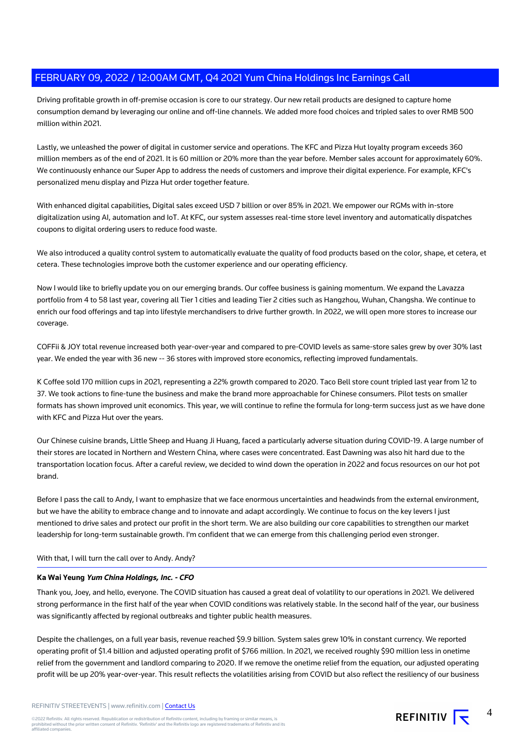Driving profitable growth in off-premise occasion is core to our strategy. Our new retail products are designed to capture home consumption demand by leveraging our online and off-line channels. We added more food choices and tripled sales to over RMB 500 million within 2021.

Lastly, we unleashed the power of digital in customer service and operations. The KFC and Pizza Hut loyalty program exceeds 360 million members as of the end of 2021. It is 60 million or 20% more than the year before. Member sales account for approximately 60%. We continuously enhance our Super App to address the needs of customers and improve their digital experience. For example, KFC's personalized menu display and Pizza Hut order together feature.

With enhanced digital capabilities, Digital sales exceed USD 7 billion or over 85% in 2021. We empower our RGMs with in-store digitalization using AI, automation and IoT. At KFC, our system assesses real-time store level inventory and automatically dispatches coupons to digital ordering users to reduce food waste.

We also introduced a quality control system to automatically evaluate the quality of food products based on the color, shape, et cetera, et cetera. These technologies improve both the customer experience and our operating efficiency.

Now I would like to briefly update you on our emerging brands. Our coffee business is gaining momentum. We expand the Lavazza portfolio from 4 to 58 last year, covering all Tier 1 cities and leading Tier 2 cities such as Hangzhou, Wuhan, Changsha. We continue to enrich our food offerings and tap into lifestyle merchandisers to drive further growth. In 2022, we will open more stores to increase our coverage.

COFFii & JOY total revenue increased both year-over-year and compared to pre-COVID levels as same-store sales grew by over 30% last year. We ended the year with 36 new -- 36 stores with improved store economics, reflecting improved fundamentals.

K Coffee sold 170 million cups in 2021, representing a 22% growth compared to 2020. Taco Bell store count tripled last year from 12 to 37. We took actions to fine-tune the business and make the brand more approachable for Chinese consumers. Pilot tests on smaller formats has shown improved unit economics. This year, we will continue to refine the formula for long-term success just as we have done with KFC and Pizza Hut over the years.

Our Chinese cuisine brands, Little Sheep and Huang Ji Huang, faced a particularly adverse situation during COVID-19. A large number of their stores are located in Northern and Western China, where cases were concentrated. East Dawning was also hit hard due to the transportation location focus. After a careful review, we decided to wind down the operation in 2022 and focus resources on our hot pot brand.

Before I pass the call to Andy, I want to emphasize that we face enormous uncertainties and headwinds from the external environment, but we have the ability to embrace change and to innovate and adapt accordingly. We continue to focus on the key levers I just mentioned to drive sales and protect our profit in the short term. We are also building our core capabilities to strengthen our market leadership for long-term sustainable growth. I'm confident that we can emerge from this challenging period even stronger.

# With that, I will turn the call over to Andy. Andy?

# **Ka Wai Yeung Yum China Holdings, Inc. - CFO**

Thank you, Joey, and hello, everyone. The COVID situation has caused a great deal of volatility to our operations in 2021. We delivered strong performance in the first half of the year when COVID conditions was relatively stable. In the second half of the year, our business was significantly affected by regional outbreaks and tighter public health measures.

Despite the challenges, on a full year basis, revenue reached \$9.9 billion. System sales grew 10% in constant currency. We reported operating profit of \$1.4 billion and adjusted operating profit of \$766 million. In 2021, we received roughly \$90 million less in onetime relief from the government and landlord comparing to 2020. If we remove the onetime relief from the equation, our adjusted operating profit will be up 20% year-over-year. This result reflects the volatilities arising from COVID but also reflect the resiliency of our business

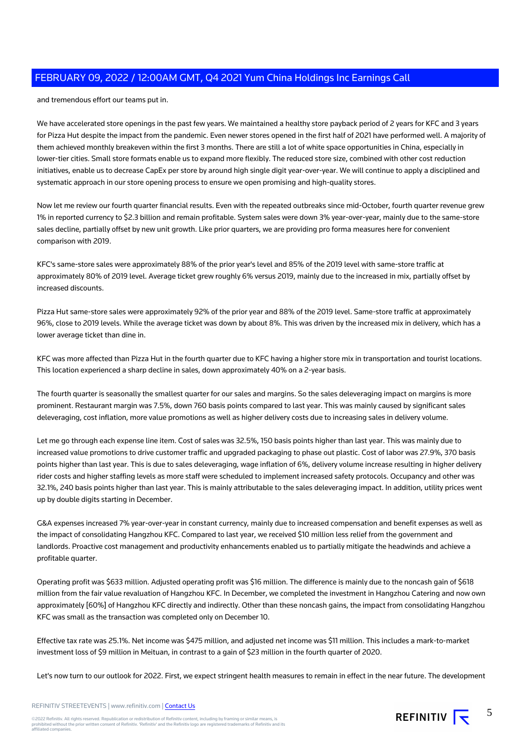and tremendous effort our teams put in.

We have accelerated store openings in the past few years. We maintained a healthy store payback period of 2 years for KFC and 3 years for Pizza Hut despite the impact from the pandemic. Even newer stores opened in the first half of 2021 have performed well. A majority of them achieved monthly breakeven within the first 3 months. There are still a lot of white space opportunities in China, especially in lower-tier cities. Small store formats enable us to expand more flexibly. The reduced store size, combined with other cost reduction initiatives, enable us to decrease CapEx per store by around high single digit year-over-year. We will continue to apply a disciplined and systematic approach in our store opening process to ensure we open promising and high-quality stores.

Now let me review our fourth quarter financial results. Even with the repeated outbreaks since mid-October, fourth quarter revenue grew 1% in reported currency to \$2.3 billion and remain profitable. System sales were down 3% year-over-year, mainly due to the same-store sales decline, partially offset by new unit growth. Like prior quarters, we are providing pro forma measures here for convenient comparison with 2019.

KFC's same-store sales were approximately 88% of the prior year's level and 85% of the 2019 level with same-store traffic at approximately 80% of 2019 level. Average ticket grew roughly 6% versus 2019, mainly due to the increased in mix, partially offset by increased discounts.

Pizza Hut same-store sales were approximately 92% of the prior year and 88% of the 2019 level. Same-store traffic at approximately 96%, close to 2019 levels. While the average ticket was down by about 8%. This was driven by the increased mix in delivery, which has a lower average ticket than dine in.

KFC was more affected than Pizza Hut in the fourth quarter due to KFC having a higher store mix in transportation and tourist locations. This location experienced a sharp decline in sales, down approximately 40% on a 2-year basis.

The fourth quarter is seasonally the smallest quarter for our sales and margins. So the sales deleveraging impact on margins is more prominent. Restaurant margin was 7.5%, down 760 basis points compared to last year. This was mainly caused by significant sales deleveraging, cost inflation, more value promotions as well as higher delivery costs due to increasing sales in delivery volume.

Let me go through each expense line item. Cost of sales was 32.5%, 150 basis points higher than last year. This was mainly due to increased value promotions to drive customer traffic and upgraded packaging to phase out plastic. Cost of labor was 27.9%, 370 basis points higher than last year. This is due to sales deleveraging, wage inflation of 6%, delivery volume increase resulting in higher delivery rider costs and higher staffing levels as more staff were scheduled to implement increased safety protocols. Occupancy and other was 32.1%, 240 basis points higher than last year. This is mainly attributable to the sales deleveraging impact. In addition, utility prices went up by double digits starting in December.

G&A expenses increased 7% year-over-year in constant currency, mainly due to increased compensation and benefit expenses as well as the impact of consolidating Hangzhou KFC. Compared to last year, we received \$10 million less relief from the government and landlords. Proactive cost management and productivity enhancements enabled us to partially mitigate the headwinds and achieve a profitable quarter.

Operating profit was \$633 million. Adjusted operating profit was \$16 million. The difference is mainly due to the noncash gain of \$618 million from the fair value revaluation of Hangzhou KFC. In December, we completed the investment in Hangzhou Catering and now own approximately [60%] of Hangzhou KFC directly and indirectly. Other than these noncash gains, the impact from consolidating Hangzhou KFC was small as the transaction was completed only on December 10.

Effective tax rate was 25.1%. Net income was \$475 million, and adjusted net income was \$11 million. This includes a mark-to-market investment loss of \$9 million in Meituan, in contrast to a gain of \$23 million in the fourth quarter of 2020.

Let's now turn to our outlook for 2022. First, we expect stringent health measures to remain in effect in the near future. The development

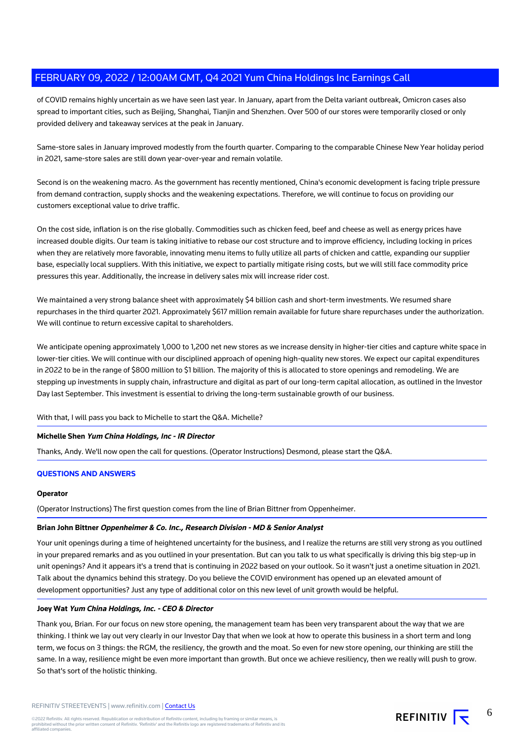of COVID remains highly uncertain as we have seen last year. In January, apart from the Delta variant outbreak, Omicron cases also spread to important cities, such as Beijing, Shanghai, Tianjin and Shenzhen. Over 500 of our stores were temporarily closed or only provided delivery and takeaway services at the peak in January.

Same-store sales in January improved modestly from the fourth quarter. Comparing to the comparable Chinese New Year holiday period in 2021, same-store sales are still down year-over-year and remain volatile.

Second is on the weakening macro. As the government has recently mentioned, China's economic development is facing triple pressure from demand contraction, supply shocks and the weakening expectations. Therefore, we will continue to focus on providing our customers exceptional value to drive traffic.

On the cost side, inflation is on the rise globally. Commodities such as chicken feed, beef and cheese as well as energy prices have increased double digits. Our team is taking initiative to rebase our cost structure and to improve efficiency, including locking in prices when they are relatively more favorable, innovating menu items to fully utilize all parts of chicken and cattle, expanding our supplier base, especially local suppliers. With this initiative, we expect to partially mitigate rising costs, but we will still face commodity price pressures this year. Additionally, the increase in delivery sales mix will increase rider cost.

We maintained a very strong balance sheet with approximately \$4 billion cash and short-term investments. We resumed share repurchases in the third quarter 2021. Approximately \$617 million remain available for future share repurchases under the authorization. We will continue to return excessive capital to shareholders.

We anticipate opening approximately 1,000 to 1,200 net new stores as we increase density in higher-tier cities and capture white space in lower-tier cities. We will continue with our disciplined approach of opening high-quality new stores. We expect our capital expenditures in 2022 to be in the range of \$800 million to \$1 billion. The majority of this is allocated to store openings and remodeling. We are stepping up investments in supply chain, infrastructure and digital as part of our long-term capital allocation, as outlined in the Investor Day last September. This investment is essential to driving the long-term sustainable growth of our business.

With that, I will pass you back to Michelle to start the Q&A. Michelle?

# **Michelle Shen Yum China Holdings, Inc - IR Director**

Thanks, Andy. We'll now open the call for questions. (Operator Instructions) Desmond, please start the Q&A.

# **QUESTIONS AND ANSWERS**

#### **Operator**

(Operator Instructions) The first question comes from the line of Brian Bittner from Oppenheimer.

#### **Brian John Bittner Oppenheimer & Co. Inc., Research Division - MD & Senior Analyst**

Your unit openings during a time of heightened uncertainty for the business, and I realize the returns are still very strong as you outlined in your prepared remarks and as you outlined in your presentation. But can you talk to us what specifically is driving this big step-up in unit openings? And it appears it's a trend that is continuing in 2022 based on your outlook. So it wasn't just a onetime situation in 2021. Talk about the dynamics behind this strategy. Do you believe the COVID environment has opened up an elevated amount of development opportunities? Just any type of additional color on this new level of unit growth would be helpful.

#### **Joey Wat Yum China Holdings, Inc. - CEO & Director**

Thank you, Brian. For our focus on new store opening, the management team has been very transparent about the way that we are thinking. I think we lay out very clearly in our Investor Day that when we look at how to operate this business in a short term and long term, we focus on 3 things: the RGM, the resiliency, the growth and the moat. So even for new store opening, our thinking are still the same. In a way, resilience might be even more important than growth. But once we achieve resiliency, then we really will push to grow. So that's sort of the holistic thinking.

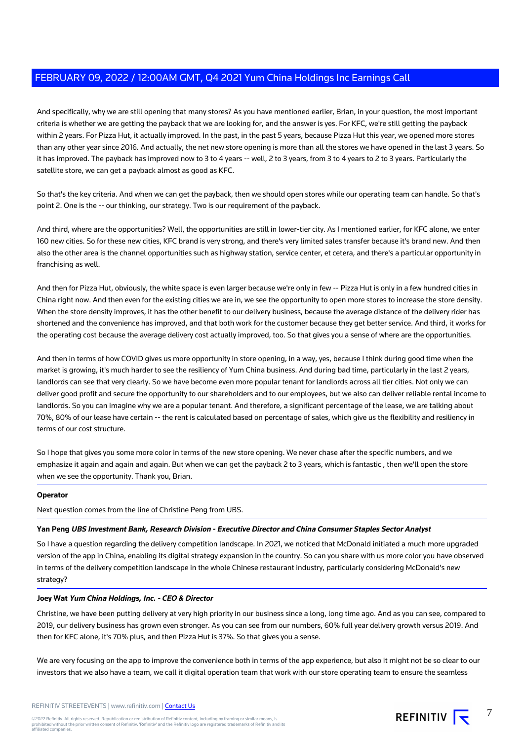And specifically, why we are still opening that many stores? As you have mentioned earlier, Brian, in your question, the most important criteria is whether we are getting the payback that we are looking for, and the answer is yes. For KFC, we're still getting the payback within 2 years. For Pizza Hut, it actually improved. In the past, in the past 5 years, because Pizza Hut this year, we opened more stores than any other year since 2016. And actually, the net new store opening is more than all the stores we have opened in the last 3 years. So it has improved. The payback has improved now to 3 to 4 years -- well, 2 to 3 years, from 3 to 4 years to 2 to 3 years. Particularly the satellite store, we can get a payback almost as good as KFC.

So that's the key criteria. And when we can get the payback, then we should open stores while our operating team can handle. So that's point 2. One is the -- our thinking, our strategy. Two is our requirement of the payback.

And third, where are the opportunities? Well, the opportunities are still in lower-tier city. As I mentioned earlier, for KFC alone, we enter 160 new cities. So for these new cities, KFC brand is very strong, and there's very limited sales transfer because it's brand new. And then also the other area is the channel opportunities such as highway station, service center, et cetera, and there's a particular opportunity in franchising as well.

And then for Pizza Hut, obviously, the white space is even larger because we're only in few -- Pizza Hut is only in a few hundred cities in China right now. And then even for the existing cities we are in, we see the opportunity to open more stores to increase the store density. When the store density improves, it has the other benefit to our delivery business, because the average distance of the delivery rider has shortened and the convenience has improved, and that both work for the customer because they get better service. And third, it works for the operating cost because the average delivery cost actually improved, too. So that gives you a sense of where are the opportunities.

And then in terms of how COVID gives us more opportunity in store opening, in a way, yes, because I think during good time when the market is growing, it's much harder to see the resiliency of Yum China business. And during bad time, particularly in the last 2 years, landlords can see that very clearly. So we have become even more popular tenant for landlords across all tier cities. Not only we can deliver good profit and secure the opportunity to our shareholders and to our employees, but we also can deliver reliable rental income to landlords. So you can imagine why we are a popular tenant. And therefore, a significant percentage of the lease, we are talking about 70%, 80% of our lease have certain -- the rent is calculated based on percentage of sales, which give us the flexibility and resiliency in terms of our cost structure.

So I hope that gives you some more color in terms of the new store opening. We never chase after the specific numbers, and we emphasize it again and again and again. But when we can get the payback 2 to 3 years, which is fantastic , then we'll open the store when we see the opportunity. Thank you, Brian.

# **Operator**

Next question comes from the line of Christine Peng from UBS.

# **Yan Peng UBS Investment Bank, Research Division - Executive Director and China Consumer Staples Sector Analyst**

So I have a question regarding the delivery competition landscape. In 2021, we noticed that McDonald initiated a much more upgraded version of the app in China, enabling its digital strategy expansion in the country. So can you share with us more color you have observed in terms of the delivery competition landscape in the whole Chinese restaurant industry, particularly considering McDonald's new strategy?

# **Joey Wat Yum China Holdings, Inc. - CEO & Director**

Christine, we have been putting delivery at very high priority in our business since a long, long time ago. And as you can see, compared to 2019, our delivery business has grown even stronger. As you can see from our numbers, 60% full year delivery growth versus 2019. And then for KFC alone, it's 70% plus, and then Pizza Hut is 37%. So that gives you a sense.

We are very focusing on the app to improve the convenience both in terms of the app experience, but also it might not be so clear to our investors that we also have a team, we call it digital operation team that work with our store operating team to ensure the seamless

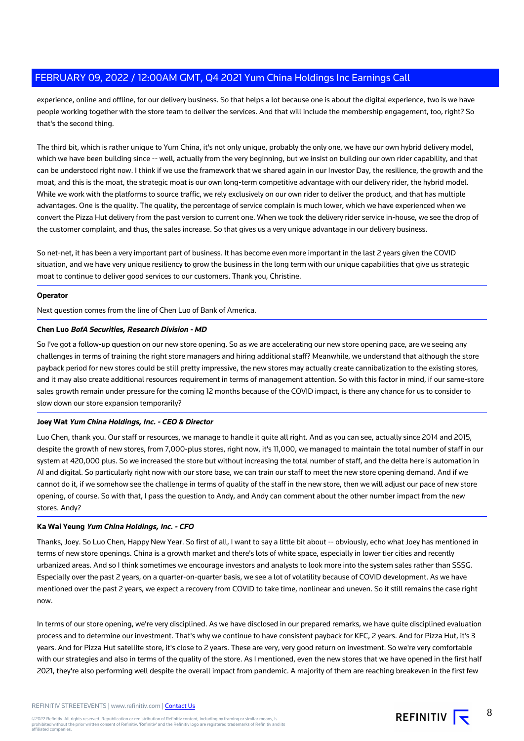experience, online and offline, for our delivery business. So that helps a lot because one is about the digital experience, two is we have people working together with the store team to deliver the services. And that will include the membership engagement, too, right? So that's the second thing.

The third bit, which is rather unique to Yum China, it's not only unique, probably the only one, we have our own hybrid delivery model, which we have been building since -- well, actually from the very beginning, but we insist on building our own rider capability, and that can be understood right now. I think if we use the framework that we shared again in our Investor Day, the resilience, the growth and the moat, and this is the moat, the strategic moat is our own long-term competitive advantage with our delivery rider, the hybrid model. While we work with the platforms to source traffic, we rely exclusively on our own rider to deliver the product, and that has multiple advantages. One is the quality. The quality, the percentage of service complain is much lower, which we have experienced when we convert the Pizza Hut delivery from the past version to current one. When we took the delivery rider service in-house, we see the drop of the customer complaint, and thus, the sales increase. So that gives us a very unique advantage in our delivery business.

So net-net, it has been a very important part of business. It has become even more important in the last 2 years given the COVID situation, and we have very unique resiliency to grow the business in the long term with our unique capabilities that give us strategic moat to continue to deliver good services to our customers. Thank you, Christine.

#### **Operator**

Next question comes from the line of Chen Luo of Bank of America.

#### **Chen Luo BofA Securities, Research Division - MD**

So I've got a follow-up question on our new store opening. So as we are accelerating our new store opening pace, are we seeing any challenges in terms of training the right store managers and hiring additional staff? Meanwhile, we understand that although the store payback period for new stores could be still pretty impressive, the new stores may actually create cannibalization to the existing stores, and it may also create additional resources requirement in terms of management attention. So with this factor in mind, if our same-store sales growth remain under pressure for the coming 12 months because of the COVID impact, is there any chance for us to consider to slow down our store expansion temporarily?

# **Joey Wat Yum China Holdings, Inc. - CEO & Director**

Luo Chen, thank you. Our staff or resources, we manage to handle it quite all right. And as you can see, actually since 2014 and 2015, despite the growth of new stores, from 7,000-plus stores, right now, it's 11,000, we managed to maintain the total number of staff in our system at 420,000 plus. So we increased the store but without increasing the total number of staff, and the delta here is automation in AI and digital. So particularly right now with our store base, we can train our staff to meet the new store opening demand. And if we cannot do it, if we somehow see the challenge in terms of quality of the staff in the new store, then we will adjust our pace of new store opening, of course. So with that, I pass the question to Andy, and Andy can comment about the other number impact from the new stores. Andy?

#### **Ka Wai Yeung Yum China Holdings, Inc. - CFO**

Thanks, Joey. So Luo Chen, Happy New Year. So first of all, I want to say a little bit about -- obviously, echo what Joey has mentioned in terms of new store openings. China is a growth market and there's lots of white space, especially in lower tier cities and recently urbanized areas. And so I think sometimes we encourage investors and analysts to look more into the system sales rather than SSSG. Especially over the past 2 years, on a quarter-on-quarter basis, we see a lot of volatility because of COVID development. As we have mentioned over the past 2 years, we expect a recovery from COVID to take time, nonlinear and uneven. So it still remains the case right now.

In terms of our store opening, we're very disciplined. As we have disclosed in our prepared remarks, we have quite disciplined evaluation process and to determine our investment. That's why we continue to have consistent payback for KFC, 2 years. And for Pizza Hut, it's 3 years. And for Pizza Hut satellite store, it's close to 2 years. These are very, very good return on investment. So we're very comfortable with our strategies and also in terms of the quality of the store. As I mentioned, even the new stores that we have opened in the first half 2021, they're also performing well despite the overall impact from pandemic. A majority of them are reaching breakeven in the first few

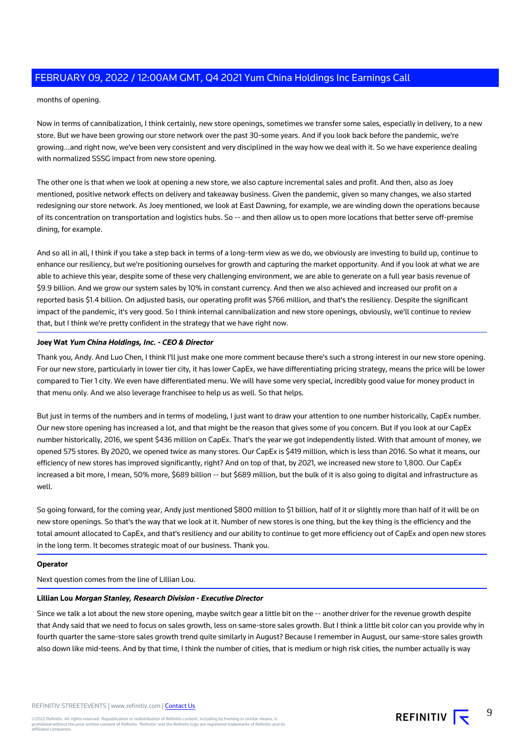months of opening.

Now in terms of cannibalization, I think certainly, new store openings, sometimes we transfer some sales, especially in delivery, to a new store. But we have been growing our store network over the past 30-some years. And if you look back before the pandemic, we're growing...and right now, we've been very consistent and very disciplined in the way how we deal with it. So we have experience dealing with normalized SSSG impact from new store opening.

The other one is that when we look at opening a new store, we also capture incremental sales and profit. And then, also as Joey mentioned, positive network effects on delivery and takeaway business. Given the pandemic, given so many changes, we also started redesigning our store network. As Joey mentioned, we look at East Dawning, for example, we are winding down the operations because of its concentration on transportation and logistics hubs. So -- and then allow us to open more locations that better serve off-premise dining, for example.

And so all in all, I think if you take a step back in terms of a long-term view as we do, we obviously are investing to build up, continue to enhance our resiliency, but we're positioning ourselves for growth and capturing the market opportunity. And if you look at what we are able to achieve this year, despite some of these very challenging environment, we are able to generate on a full year basis revenue of \$9.9 billion. And we grow our system sales by 10% in constant currency. And then we also achieved and increased our profit on a reported basis \$1.4 billion. On adjusted basis, our operating profit was \$766 million, and that's the resiliency. Despite the significant impact of the pandemic, it's very good. So I think internal cannibalization and new store openings, obviously, we'll continue to review that, but I think we're pretty confident in the strategy that we have right now.

# **Joey Wat Yum China Holdings, Inc. - CEO & Director**

Thank you, Andy. And Luo Chen, I think I'll just make one more comment because there's such a strong interest in our new store opening. For our new store, particularly in lower tier city, it has lower CapEx, we have differentiating pricing strategy, means the price will be lower compared to Tier 1 city. We even have differentiated menu. We will have some very special, incredibly good value for money product in that menu only. And we also leverage franchisee to help us as well. So that helps.

But just in terms of the numbers and in terms of modeling, I just want to draw your attention to one number historically, CapEx number. Our new store opening has increased a lot, and that might be the reason that gives some of you concern. But if you look at our CapEx number historically, 2016, we spent \$436 million on CapEx. That's the year we got independently listed. With that amount of money, we opened 575 stores. By 2020, we opened twice as many stores. Our CapEx is \$419 million, which is less than 2016. So what it means, our efficiency of new stores has improved significantly, right? And on top of that, by 2021, we increased new store to 1,800. Our CapEx increased a bit more, I mean, 50% more, \$689 billion -- but \$689 million, but the bulk of it is also going to digital and infrastructure as well.

So going forward, for the coming year, Andy just mentioned \$800 million to \$1 billion, half of it or slightly more than half of it will be on new store openings. So that's the way that we look at it. Number of new stores is one thing, but the key thing is the efficiency and the total amount allocated to CapEx, and that's resiliency and our ability to continue to get more efficiency out of CapEx and open new stores in the long term. It becomes strategic moat of our business. Thank you.

#### **Operator**

Next question comes from the line of Lillian Lou.

# **Lillian Lou Morgan Stanley, Research Division - Executive Director**

Since we talk a lot about the new store opening, maybe switch gear a little bit on the -- another driver for the revenue growth despite that Andy said that we need to focus on sales growth, less on same-store sales growth. But I think a little bit color can you provide why in fourth quarter the same-store sales growth trend quite similarly in August? Because I remember in August, our same-store sales growth also down like mid-teens. And by that time, I think the number of cities, that is medium or high risk cities, the number actually is way

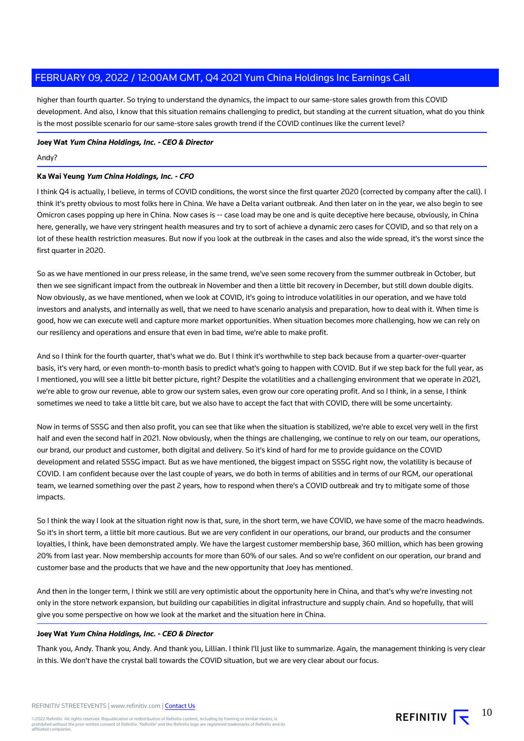higher than fourth quarter. So trying to understand the dynamics, the impact to our same-store sales growth from this COVID development. And also, I know that this situation remains challenging to predict, but standing at the current situation, what do you think is the most possible scenario for our same-store sales growth trend if the COVID continues like the current level?

**Joey Wat Yum China Holdings, Inc. - CEO & Director**

#### Andy?

# **Ka Wai Yeung Yum China Holdings, Inc. - CFO**

I think Q4 is actually, I believe, in terms of COVID conditions, the worst since the first quarter 2020 (corrected by company after the call). I think it's pretty obvious to most folks here in China. We have a Delta variant outbreak. And then later on in the year, we also begin to see Omicron cases popping up here in China. Now cases is -- case load may be one and is quite deceptive here because, obviously, in China here, generally, we have very stringent health measures and try to sort of achieve a dynamic zero cases for COVID, and so that rely on a lot of these health restriction measures. But now if you look at the outbreak in the cases and also the wide spread, it's the worst since the first quarter in 2020.

So as we have mentioned in our press release, in the same trend, we've seen some recovery from the summer outbreak in October, but then we see significant impact from the outbreak in November and then a little bit recovery in December, but still down double digits. Now obviously, as we have mentioned, when we look at COVID, it's going to introduce volatilities in our operation, and we have told investors and analysts, and internally as well, that we need to have scenario analysis and preparation, how to deal with it. When time is good, how we can execute well and capture more market opportunities. When situation becomes more challenging, how we can rely on our resiliency and operations and ensure that even in bad time, we're able to make profit.

And so I think for the fourth quarter, that's what we do. But I think it's worthwhile to step back because from a quarter-over-quarter basis, it's very hard, or even month-to-month basis to predict what's going to happen with COVID. But if we step back for the full year, as I mentioned, you will see a little bit better picture, right? Despite the volatilities and a challenging environment that we operate in 2021, we're able to grow our revenue, able to grow our system sales, even grow our core operating profit. And so I think, in a sense, I think sometimes we need to take a little bit care, but we also have to accept the fact that with COVID, there will be some uncertainty.

Now in terms of SSSG and then also profit, you can see that like when the situation is stabilized, we're able to excel very well in the first half and even the second half in 2021. Now obviously, when the things are challenging, we continue to rely on our team, our operations, our brand, our product and customer, both digital and delivery. So it's kind of hard for me to provide guidance on the COVID development and related SSSG impact. But as we have mentioned, the biggest impact on SSSG right now, the volatility is because of COVID. I am confident because over the last couple of years, we do both in terms of abilities and in terms of our RGM, our operational team, we learned something over the past 2 years, how to respond when there's a COVID outbreak and try to mitigate some of those impacts.

So I think the way I look at the situation right now is that, sure, in the short term, we have COVID, we have some of the macro headwinds. So it's in short term, a little bit more cautious. But we are very confident in our operations, our brand, our products and the consumer loyalties, I think, have been demonstrated amply. We have the largest customer membership base, 360 million, which has been growing 20% from last year. Now membership accounts for more than 60% of our sales. And so we're confident on our operation, our brand and customer base and the products that we have and the new opportunity that Joey has mentioned.

And then in the longer term, I think we still are very optimistic about the opportunity here in China, and that's why we're investing not only in the store network expansion, but building our capabilities in digital infrastructure and supply chain. And so hopefully, that will give you some perspective on how we look at the market and the situation here in China.

## **Joey Wat Yum China Holdings, Inc. - CEO & Director**

Thank you, Andy. Thank you, Andy. And thank you, Lillian. I think I'll just like to summarize. Again, the management thinking is very clear in this. We don't have the crystal ball towards the COVID situation, but we are very clear about our focus.

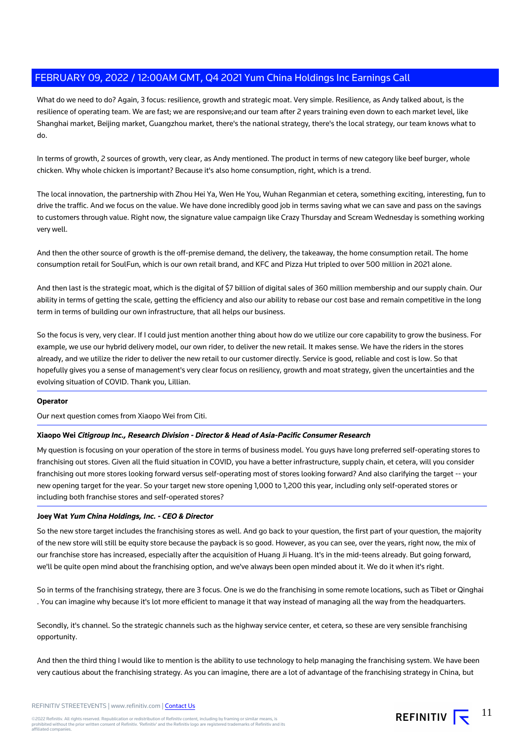What do we need to do? Again, 3 focus: resilience, growth and strategic moat. Very simple. Resilience, as Andy talked about, is the resilience of operating team. We are fast; we are responsive;and our team after 2 years training even down to each market level, like Shanghai market, Beijing market, Guangzhou market, there's the national strategy, there's the local strategy, our team knows what to do.

In terms of growth, 2 sources of growth, very clear, as Andy mentioned. The product in terms of new category like beef burger, whole chicken. Why whole chicken is important? Because it's also home consumption, right, which is a trend.

The local innovation, the partnership with Zhou Hei Ya, Wen He You, Wuhan Reganmian et cetera, something exciting, interesting, fun to drive the traffic. And we focus on the value. We have done incredibly good job in terms saving what we can save and pass on the savings to customers through value. Right now, the signature value campaign like Crazy Thursday and Scream Wednesday is something working very well.

And then the other source of growth is the off-premise demand, the delivery, the takeaway, the home consumption retail. The home consumption retail for SoulFun, which is our own retail brand, and KFC and Pizza Hut tripled to over 500 million in 2021 alone.

And then last is the strategic moat, which is the digital of \$7 billion of digital sales of 360 million membership and our supply chain. Our ability in terms of getting the scale, getting the efficiency and also our ability to rebase our cost base and remain competitive in the long term in terms of building our own infrastructure, that all helps our business.

So the focus is very, very clear. If I could just mention another thing about how do we utilize our core capability to grow the business. For example, we use our hybrid delivery model, our own rider, to deliver the new retail. It makes sense. We have the riders in the stores already, and we utilize the rider to deliver the new retail to our customer directly. Service is good, reliable and cost is low. So that hopefully gives you a sense of management's very clear focus on resiliency, growth and moat strategy, given the uncertainties and the evolving situation of COVID. Thank you, Lillian.

# **Operator**

Our next question comes from Xiaopo Wei from Citi.

# **Xiaopo Wei Citigroup Inc., Research Division - Director & Head of Asia-Pacific Consumer Research**

My question is focusing on your operation of the store in terms of business model. You guys have long preferred self-operating stores to franchising out stores. Given all the fluid situation in COVID, you have a better infrastructure, supply chain, et cetera, will you consider franchising out more stores looking forward versus self-operating most of stores looking forward? And also clarifying the target -- your new opening target for the year. So your target new store opening 1,000 to 1,200 this year, including only self-operated stores or including both franchise stores and self-operated stores?

# **Joey Wat Yum China Holdings, Inc. - CEO & Director**

So the new store target includes the franchising stores as well. And go back to your question, the first part of your question, the majority of the new store will still be equity store because the payback is so good. However, as you can see, over the years, right now, the mix of our franchise store has increased, especially after the acquisition of Huang Ji Huang. It's in the mid-teens already. But going forward, we'll be quite open mind about the franchising option, and we've always been open minded about it. We do it when it's right.

So in terms of the franchising strategy, there are 3 focus. One is we do the franchising in some remote locations, such as Tibet or Qinghai . You can imagine why because it's lot more efficient to manage it that way instead of managing all the way from the headquarters.

Secondly, it's channel. So the strategic channels such as the highway service center, et cetera, so these are very sensible franchising opportunity.

And then the third thing I would like to mention is the ability to use technology to help managing the franchising system. We have been very cautious about the franchising strategy. As you can imagine, there are a lot of advantage of the franchising strategy in China, but

REFINITIV  $\overline{\mathbf{S}}^{-11}$ 

©2022 Refinitiv. All rights reserved. Republication or redistribution of Refinitiv content, including by framing or similar means, is<br>prohibited without the prior written consent of Refinitiv. 'Refinitiv' and the Refinitiv affiliated companies.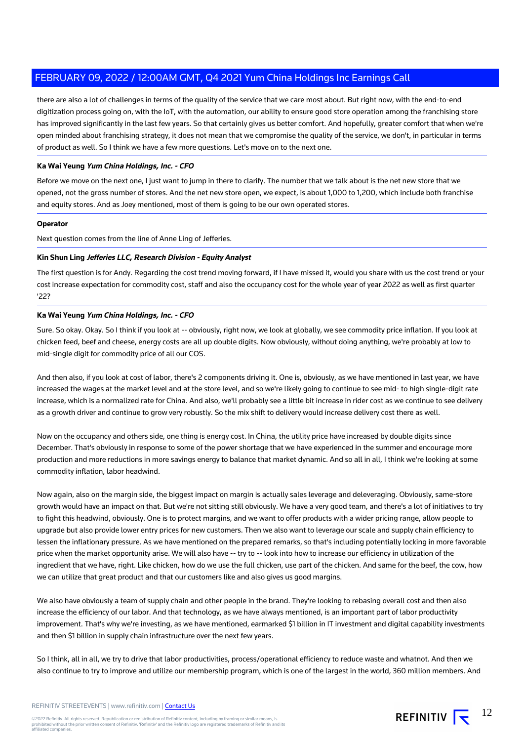there are also a lot of challenges in terms of the quality of the service that we care most about. But right now, with the end-to-end digitization process going on, with the IoT, with the automation, our ability to ensure good store operation among the franchising store has improved significantly in the last few years. So that certainly gives us better comfort. And hopefully, greater comfort that when we're open minded about franchising strategy, it does not mean that we compromise the quality of the service, we don't, in particular in terms of product as well. So I think we have a few more questions. Let's move on to the next one.

## **Ka Wai Yeung Yum China Holdings, Inc. - CFO**

Before we move on the next one, I just want to jump in there to clarify. The number that we talk about is the net new store that we opened, not the gross number of stores. And the net new store open, we expect, is about 1,000 to 1,200, which include both franchise and equity stores. And as Joey mentioned, most of them is going to be our own operated stores.

## **Operator**

Next question comes from the line of Anne Ling of Jefferies.

#### **Kin Shun Ling Jefferies LLC, Research Division - Equity Analyst**

The first question is for Andy. Regarding the cost trend moving forward, if I have missed it, would you share with us the cost trend or your cost increase expectation for commodity cost, staff and also the occupancy cost for the whole year of year 2022 as well as first quarter '22?

# **Ka Wai Yeung Yum China Holdings, Inc. - CFO**

Sure. So okay. Okay. So I think if you look at -- obviously, right now, we look at globally, we see commodity price inflation. If you look at chicken feed, beef and cheese, energy costs are all up double digits. Now obviously, without doing anything, we're probably at low to mid-single digit for commodity price of all our COS.

And then also, if you look at cost of labor, there's 2 components driving it. One is, obviously, as we have mentioned in last year, we have increased the wages at the market level and at the store level, and so we're likely going to continue to see mid- to high single-digit rate increase, which is a normalized rate for China. And also, we'll probably see a little bit increase in rider cost as we continue to see delivery as a growth driver and continue to grow very robustly. So the mix shift to delivery would increase delivery cost there as well.

Now on the occupancy and others side, one thing is energy cost. In China, the utility price have increased by double digits since December. That's obviously in response to some of the power shortage that we have experienced in the summer and encourage more production and more reductions in more savings energy to balance that market dynamic. And so all in all, I think we're looking at some commodity inflation, labor headwind.

Now again, also on the margin side, the biggest impact on margin is actually sales leverage and deleveraging. Obviously, same-store growth would have an impact on that. But we're not sitting still obviously. We have a very good team, and there's a lot of initiatives to try to fight this headwind, obviously. One is to protect margins, and we want to offer products with a wider pricing range, allow people to upgrade but also provide lower entry prices for new customers. Then we also want to leverage our scale and supply chain efficiency to lessen the inflationary pressure. As we have mentioned on the prepared remarks, so that's including potentially locking in more favorable price when the market opportunity arise. We will also have -- try to -- look into how to increase our efficiency in utilization of the ingredient that we have, right. Like chicken, how do we use the full chicken, use part of the chicken. And same for the beef, the cow, how we can utilize that great product and that our customers like and also gives us good margins.

We also have obviously a team of supply chain and other people in the brand. They're looking to rebasing overall cost and then also increase the efficiency of our labor. And that technology, as we have always mentioned, is an important part of labor productivity improvement. That's why we're investing, as we have mentioned, earmarked \$1 billion in IT investment and digital capability investments and then \$1 billion in supply chain infrastructure over the next few years.

So I think, all in all, we try to drive that labor productivities, process/operational efficiency to reduce waste and whatnot. And then we also continue to try to improve and utilize our membership program, which is one of the largest in the world, 360 million members. And

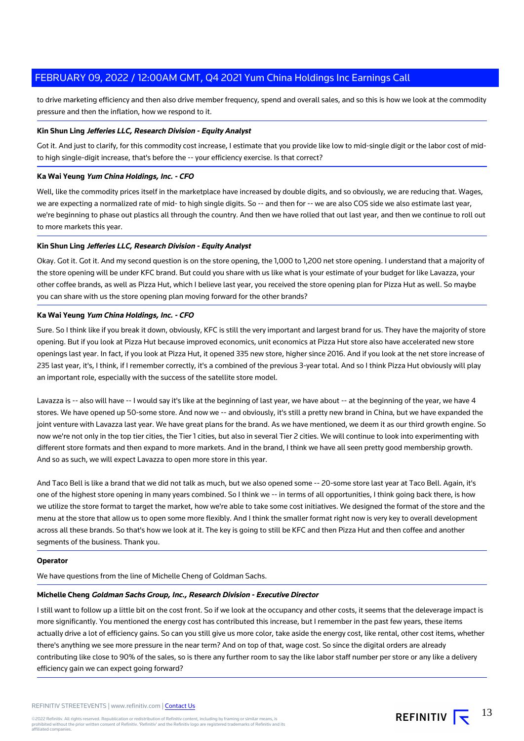to drive marketing efficiency and then also drive member frequency, spend and overall sales, and so this is how we look at the commodity pressure and then the inflation, how we respond to it.

## **Kin Shun Ling Jefferies LLC, Research Division - Equity Analyst**

Got it. And just to clarify, for this commodity cost increase, I estimate that you provide like low to mid-single digit or the labor cost of midto high single-digit increase, that's before the -- your efficiency exercise. Is that correct?

#### **Ka Wai Yeung Yum China Holdings, Inc. - CFO**

Well, like the commodity prices itself in the marketplace have increased by double digits, and so obviously, we are reducing that. Wages, we are expecting a normalized rate of mid- to high single digits. So -- and then for -- we are also COS side we also estimate last year, we're beginning to phase out plastics all through the country. And then we have rolled that out last year, and then we continue to roll out to more markets this year.

## **Kin Shun Ling Jefferies LLC, Research Division - Equity Analyst**

Okay. Got it. Got it. And my second question is on the store opening, the 1,000 to 1,200 net store opening. I understand that a majority of the store opening will be under KFC brand. But could you share with us like what is your estimate of your budget for like Lavazza, your other coffee brands, as well as Pizza Hut, which I believe last year, you received the store opening plan for Pizza Hut as well. So maybe you can share with us the store opening plan moving forward for the other brands?

## **Ka Wai Yeung Yum China Holdings, Inc. - CFO**

Sure. So I think like if you break it down, obviously, KFC is still the very important and largest brand for us. They have the majority of store opening. But if you look at Pizza Hut because improved economics, unit economics at Pizza Hut store also have accelerated new store openings last year. In fact, if you look at Pizza Hut, it opened 335 new store, higher since 2016. And if you look at the net store increase of 235 last year, it's, I think, if I remember correctly, it's a combined of the previous 3-year total. And so I think Pizza Hut obviously will play an important role, especially with the success of the satellite store model.

Lavazza is -- also will have -- I would say it's like at the beginning of last year, we have about -- at the beginning of the year, we have 4 stores. We have opened up 50-some store. And now we -- and obviously, it's still a pretty new brand in China, but we have expanded the joint venture with Lavazza last year. We have great plans for the brand. As we have mentioned, we deem it as our third growth engine. So now we're not only in the top tier cities, the Tier 1 cities, but also in several Tier 2 cities. We will continue to look into experimenting with different store formats and then expand to more markets. And in the brand, I think we have all seen pretty good membership growth. And so as such, we will expect Lavazza to open more store in this year.

And Taco Bell is like a brand that we did not talk as much, but we also opened some -- 20-some store last year at Taco Bell. Again, it's one of the highest store opening in many years combined. So I think we -- in terms of all opportunities, I think going back there, is how we utilize the store format to target the market, how we're able to take some cost initiatives. We designed the format of the store and the menu at the store that allow us to open some more flexibly. And I think the smaller format right now is very key to overall development across all these brands. So that's how we look at it. The key is going to still be KFC and then Pizza Hut and then coffee and another segments of the business. Thank you.

#### **Operator**

We have questions from the line of Michelle Cheng of Goldman Sachs.

#### **Michelle Cheng Goldman Sachs Group, Inc., Research Division - Executive Director**

I still want to follow up a little bit on the cost front. So if we look at the occupancy and other costs, it seems that the deleverage impact is more significantly. You mentioned the energy cost has contributed this increase, but I remember in the past few years, these items actually drive a lot of efficiency gains. So can you still give us more color, take aside the energy cost, like rental, other cost items, whether there's anything we see more pressure in the near term? And on top of that, wage cost. So since the digital orders are already contributing like close to 90% of the sales, so is there any further room to say the like labor staff number per store or any like a delivery efficiency gain we can expect going forward?

13

REFINITIV  $\overline{\mathbf{t}}$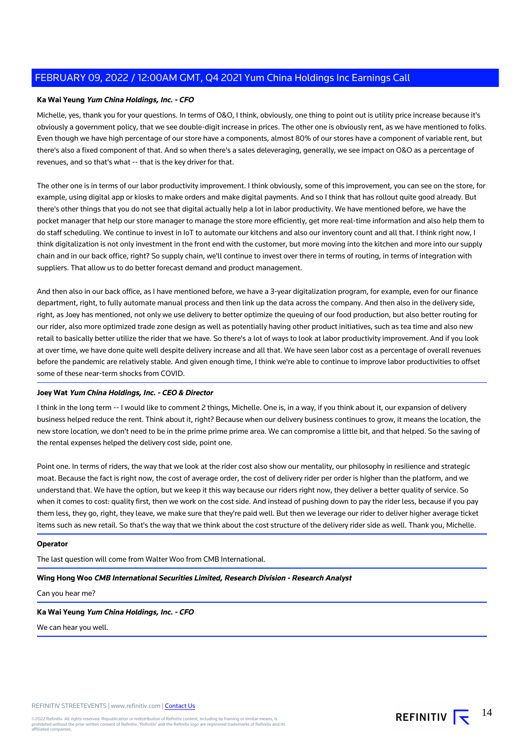# **Ka Wai Yeung Yum China Holdings, Inc. - CFO**

Michelle, yes, thank you for your questions. In terms of O&O, I think, obviously, one thing to point out is utility price increase because it's obviously a government policy, that we see double-digit increase in prices. The other one is obviously rent, as we have mentioned to folks. Even though we have high percentage of our store have a components, almost 80% of our stores have a component of variable rent, but there's also a fixed component of that. And so when there's a sales deleveraging, generally, we see impact on O&O as a percentage of revenues, and so that's what -- that is the key driver for that.

The other one is in terms of our labor productivity improvement. I think obviously, some of this improvement, you can see on the store, for example, using digital app or kiosks to make orders and make digital payments. And so I think that has rollout quite good already. But there's other things that you do not see that digital actually help a lot in labor productivity. We have mentioned before, we have the pocket manager that help our store manager to manage the store more efficiently, get more real-time information and also help them to do staff scheduling. We continue to invest in IoT to automate our kitchens and also our inventory count and all that. I think right now, I think digitalization is not only investment in the front end with the customer, but more moving into the kitchen and more into our supply chain and in our back office, right? So supply chain, we'll continue to invest over there in terms of routing, in terms of integration with suppliers. That allow us to do better forecast demand and product management.

And then also in our back office, as I have mentioned before, we have a 3-year digitalization program, for example, even for our finance department, right, to fully automate manual process and then link up the data across the company. And then also in the delivery side, right, as Joey has mentioned, not only we use delivery to better optimize the queuing of our food production, but also better routing for our rider, also more optimized trade zone design as well as potentially having other product initiatives, such as tea time and also new retail to basically better utilize the rider that we have. So there's a lot of ways to look at labor productivity improvement. And if you look at over time, we have done quite well despite delivery increase and all that. We have seen labor cost as a percentage of overall revenues before the pandemic are relatively stable. And given enough time, I think we're able to continue to improve labor productivities to offset some of these near-term shocks from COVID.

#### **Joey Wat Yum China Holdings, Inc. - CEO & Director**

I think in the long term -- I would like to comment 2 things, Michelle. One is, in a way, if you think about it, our expansion of delivery business helped reduce the rent. Think about it, right? Because when our delivery business continues to grow, it means the location, the new store location, we don't need to be in the prime prime prime area. We can compromise a little bit, and that helped. So the saving of the rental expenses helped the delivery cost side, point one.

Point one. In terms of riders, the way that we look at the rider cost also show our mentality, our philosophy in resilience and strategic moat. Because the fact is right now, the cost of average order, the cost of delivery rider per order is higher than the platform, and we understand that. We have the option, but we keep it this way because our riders right now, they deliver a better quality of service. So when it comes to cost: quality first, then we work on the cost side. And instead of pushing down to pay the rider less, because if you pay them less, they go, right, they leave, we make sure that they're paid well. But then we leverage our rider to deliver higher average ticket items such as new retail. So that's the way that we think about the cost structure of the delivery rider side as well. Thank you, Michelle.

#### **Operator**

The last question will come from Walter Woo from CMB International.

#### **Wing Hong Woo CMB International Securities Limited, Research Division - Research Analyst**

Can you hear me?

## **Ka Wai Yeung Yum China Holdings, Inc. - CFO**

We can hear you well.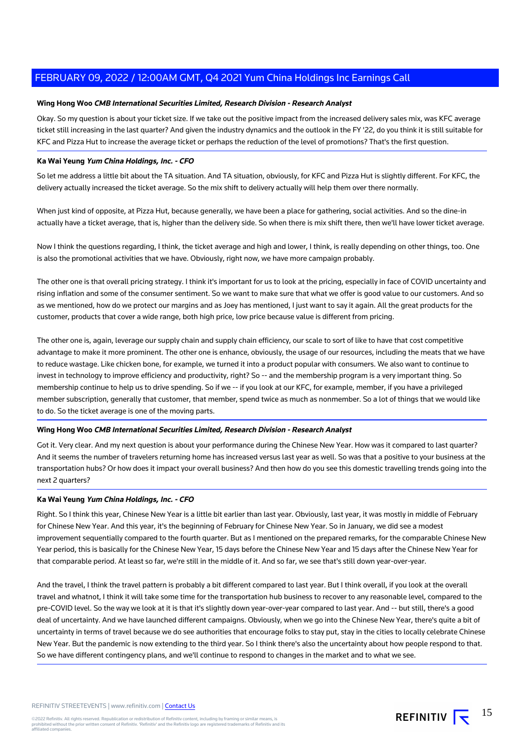## **Wing Hong Woo CMB International Securities Limited, Research Division - Research Analyst**

Okay. So my question is about your ticket size. If we take out the positive impact from the increased delivery sales mix, was KFC average ticket still increasing in the last quarter? And given the industry dynamics and the outlook in the FY '22, do you think it is still suitable for KFC and Pizza Hut to increase the average ticket or perhaps the reduction of the level of promotions? That's the first question.

## **Ka Wai Yeung Yum China Holdings, Inc. - CFO**

So let me address a little bit about the TA situation. And TA situation, obviously, for KFC and Pizza Hut is slightly different. For KFC, the delivery actually increased the ticket average. So the mix shift to delivery actually will help them over there normally.

When just kind of opposite, at Pizza Hut, because generally, we have been a place for gathering, social activities. And so the dine-in actually have a ticket average, that is, higher than the delivery side. So when there is mix shift there, then we'll have lower ticket average.

Now I think the questions regarding, I think, the ticket average and high and lower, I think, is really depending on other things, too. One is also the promotional activities that we have. Obviously, right now, we have more campaign probably.

The other one is that overall pricing strategy. I think it's important for us to look at the pricing, especially in face of COVID uncertainty and rising inflation and some of the consumer sentiment. So we want to make sure that what we offer is good value to our customers. And so as we mentioned, how do we protect our margins and as Joey has mentioned, I just want to say it again. All the great products for the customer, products that cover a wide range, both high price, low price because value is different from pricing.

The other one is, again, leverage our supply chain and supply chain efficiency, our scale to sort of like to have that cost competitive advantage to make it more prominent. The other one is enhance, obviously, the usage of our resources, including the meats that we have to reduce wastage. Like chicken bone, for example, we turned it into a product popular with consumers. We also want to continue to invest in technology to improve efficiency and productivity, right? So -- and the membership program is a very important thing. So membership continue to help us to drive spending. So if we -- if you look at our KFC, for example, member, if you have a privileged member subscription, generally that customer, that member, spend twice as much as nonmember. So a lot of things that we would like to do. So the ticket average is one of the moving parts.

## **Wing Hong Woo CMB International Securities Limited, Research Division - Research Analyst**

Got it. Very clear. And my next question is about your performance during the Chinese New Year. How was it compared to last quarter? And it seems the number of travelers returning home has increased versus last year as well. So was that a positive to your business at the transportation hubs? Or how does it impact your overall business? And then how do you see this domestic travelling trends going into the next 2 quarters?

#### **Ka Wai Yeung Yum China Holdings, Inc. - CFO**

Right. So I think this year, Chinese New Year is a little bit earlier than last year. Obviously, last year, it was mostly in middle of February for Chinese New Year. And this year, it's the beginning of February for Chinese New Year. So in January, we did see a modest improvement sequentially compared to the fourth quarter. But as I mentioned on the prepared remarks, for the comparable Chinese New Year period, this is basically for the Chinese New Year, 15 days before the Chinese New Year and 15 days after the Chinese New Year for that comparable period. At least so far, we're still in the middle of it. And so far, we see that's still down year-over-year.

And the travel, I think the travel pattern is probably a bit different compared to last year. But I think overall, if you look at the overall travel and whatnot, I think it will take some time for the transportation hub business to recover to any reasonable level, compared to the pre-COVID level. So the way we look at it is that it's slightly down year-over-year compared to last year. And -- but still, there's a good deal of uncertainty. And we have launched different campaigns. Obviously, when we go into the Chinese New Year, there's quite a bit of uncertainty in terms of travel because we do see authorities that encourage folks to stay put, stay in the cities to locally celebrate Chinese New Year. But the pandemic is now extending to the third year. So I think there's also the uncertainty about how people respond to that. So we have different contingency plans, and we'll continue to respond to changes in the market and to what we see.